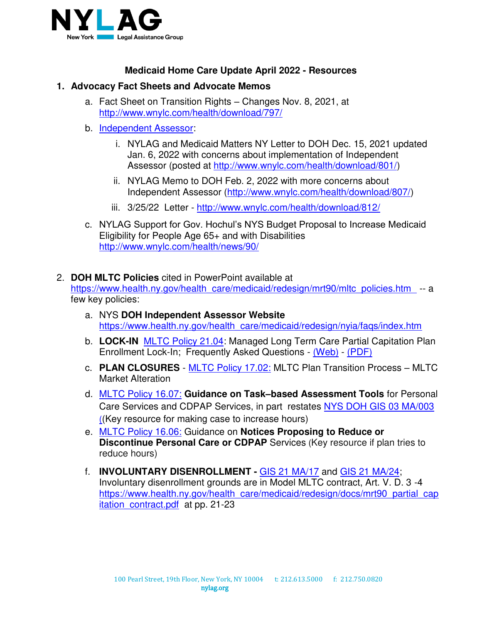

## **Medicaid Home Care Update April 2022 - Resources**

## **1. Advocacy Fact Sheets and Advocate Memos**

- a. Fact Sheet on Transition Rights Changes Nov. 8, 2021, at <http://www.wnylc.com/health/download/797/>
- b. [Independent Assessor:](https://www.health.ny.gov/health_care/medicaid/redesign/nyia/faqs/index.htm)
	- i. NYLAG and Medicaid Matters NY Letter to DOH Dec. 15, 2021 updated Jan. 6, 2022 with concerns about implementation of Independent Assessor (posted at [http://www.wnylc.com/health/download/801/\)](http://www.wnylc.com/health/download/801/)
	- ii. NYLAG Memo to DOH Feb. 2, 2022 with more concerns about Independent Assessor [\(http://www.wnylc.com/health/download/807/\)](http://www.wnylc.com/health/download/807/)
	- iii. 3/25/22 Letter -<http://www.wnylc.com/health/download/812/>
- c. NYLAG Support for Gov. Hochul's NYS Budget Proposal to Increase Medicaid Eligibility for People Age 65+ and with Disabilities <http://www.wnylc.com/health/news/90/>
- 2. **DOH MLTC Policies** cited in PowerPoint available at

[https://www.health.ny.gov/health\\_care/medicaid/redesign/mrt90/mltc\\_policies.htm](https://www.health.ny.gov/health_care/medicaid/redesign/mrt90/mltc_policies.htm) -- a few key policies:

- a. NYS **DOH Independent Assessor Website** https://www.health.ny.gov/health\_care/medicaid/redesign/nyia/faqs/index.htm
- b. **LOCK-IN** [MLTC Policy 21.04:](https://www.health.ny.gov/health_care/medicaid/redesign/mrt90/mltc_policy/21-04.htm) Managed Long Term Care Partial Capitation Plan Enrollment Lock-In; Frequently Asked Questions - [\(Web\)](https://www.health.ny.gov/health_care/medicaid/redesign/mrt90/mltc_policy/lock-in_faqs.htm) - [\(PDF\)](https://www.health.ny.gov/health_care/medicaid/redesign/mrt90/mltc_policy/docs/lock-in_faqs.pdf)
- c. **PLAN CLOSURES** - [MLTC Policy 17.02:](https://www.health.ny.gov/health_care/medicaid/redesign/mrt90/mltc_policy/17-02.htm) MLTC Plan Transition Process MLTC Market Alteration
- d. [MLTC Policy 16.07:](https://www.health.ny.gov/health_care/medicaid/redesign/mrt90/mltc_policy/16-07.htm) **Guidance on Task–based Assessment Tools** for Personal Care Services and CDPAP Services, in part restates [NYS DOH GIS 03 MA/003](http://www.health.state.ny.us/health_care/medicaid/publications/docs/gis/03ma003.pdf) ((Key resource for making case to increase hours)
- e. [MLTC Policy 16.06:](https://www.health.ny.gov/health_care/medicaid/redesign/mrt90/mltc_policy/16-06.htm) Guidance on **Notices Proposing to Reduce or Discontinue Personal Care or CDPAP** Services (Key resource if plan tries to reduce hours)
- f. **INVOLUNTARY DISENROLLMENT** [GIS 21 MA/17](https://www.health.ny.gov/health_care/medicaid/publications/docs/gis/21ma17.pdf) and [GIS 21 MA/24;](https://www.health.ny.gov/health_care/medicaid/publications/docs/gis/21ma24.pdf) Involuntary disenrollment grounds are in Model MLTC contract, Art. V. D. 3 -4 [https://www.health.ny.gov/health\\_care/medicaid/redesign/docs/mrt90\\_partial\\_cap](https://www.health.ny.gov/health_care/medicaid/redesign/docs/mrt90_partial_capitation_contract.pdf) itation contract.pdf at pp. 21-23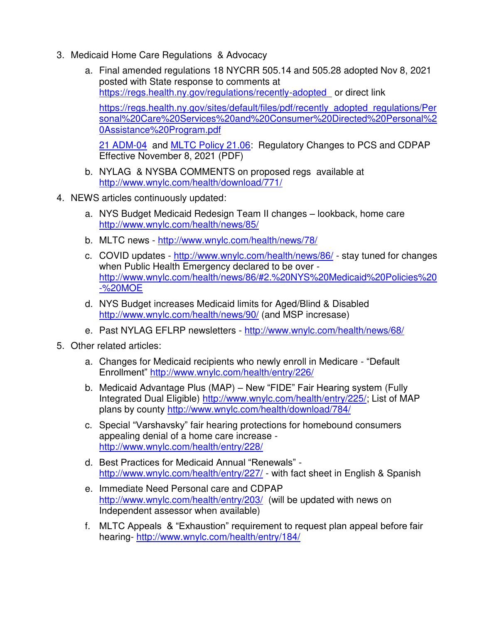- 3. Medicaid Home Care Regulations & Advocacy
	- a. Final amended regulations 18 NYCRR 505.14 and 505.28 adopted Nov 8, 2021 posted with State response to comments at <https://regs.health.ny.gov/regulations/recently-adopted>or direct link

[https://regs.health.ny.gov/sites/default/files/pdf/recently\\_adopted\\_regulations/Per](https://regs.health.ny.gov/sites/default/files/pdf/recently_adopted_regulations/Personal%20Care%20Services%20and%20Consumer%20Directed%20Personal%20Assistance%20Program.pdf) [sonal%20Care%20Services%20and%20Consumer%20Directed%20Personal%2](https://regs.health.ny.gov/sites/default/files/pdf/recently_adopted_regulations/Personal%20Care%20Services%20and%20Consumer%20Directed%20Personal%20Assistance%20Program.pdf) [0Assistance%20Program.pdf](https://regs.health.ny.gov/sites/default/files/pdf/recently_adopted_regulations/Personal%20Care%20Services%20and%20Consumer%20Directed%20Personal%20Assistance%20Program.pdf) 

[21 ADM-04](https://www.health.ny.gov/health_care/medicaid/publications/docs/adm/21adm04.pdf) and [MLTC Policy 21.06:](https://www.health.ny.gov/health_care/medicaid/redesign/mrt90/mltc_policy/docs/2021-12-13_mltc_21-06) Regulatory Changes to PCS and CDPAP Effective November 8, 2021 (PDF)

- b. NYLAG & NYSBA COMMENTS on proposed regs available at <http://www.wnylc.com/health/download/771/>
- 4. NEWS articles continuously updated:
	- a. NYS Budget Medicaid Redesign Team II changes lookback, home care <http://www.wnylc.com/health/news/85/>
	- b. MLTC news -<http://www.wnylc.com/health/news/78/>
	- c. COVID updates -<http://www.wnylc.com/health/news/86/> stay tuned for changes when Public Health Emergency declared to be over [http://www.wnylc.com/health/news/86/#2.%20NYS%20Medicaid%20Policies%20](http://www.wnylc.com/health/news/86/#2.%20NYS%20Medicaid%20Policies%20-%20MOE) [-%20MOE](http://www.wnylc.com/health/news/86/#2.%20NYS%20Medicaid%20Policies%20-%20MOE)
	- d. NYS Budget increases Medicaid limits for Aged/Blind & Disabled <http://www.wnylc.com/health/news/90/>(and MSP incresase)
	- e. Past NYLAG EFLRP newsletters -<http://www.wnylc.com/health/news/68/>
- 5. Other related articles:
	- a. Changes for Medicaid recipients who newly enroll in Medicare "Default Enrollment" <http://www.wnylc.com/health/entry/226/>
	- b. Medicaid Advantage Plus (MAP) New "FIDE" Fair Hearing system (Fully Integrated Dual Eligible) [http://www.wnylc.com/health/entry/225/;](http://www.wnylc.com/health/entry/225/) List of MAP plans by county<http://www.wnylc.com/health/download/784/>
	- c. Special "Varshavsky" fair hearing protections for homebound consumers appealing denial of a home care increase <http://www.wnylc.com/health/entry/228/>
	- d. Best Practices for Medicaid Annual "Renewals" <http://www.wnylc.com/health/entry/227/>- with fact sheet in English & Spanish
	- e. Immediate Need Personal care and CDPAP <http://www.wnylc.com/health/entry/203/>(will be updated with news on Independent assessor when available)
	- f. MLTC Appeals & "Exhaustion" requirement to request plan appeal before fair hearing-<http://www.wnylc.com/health/entry/184/>